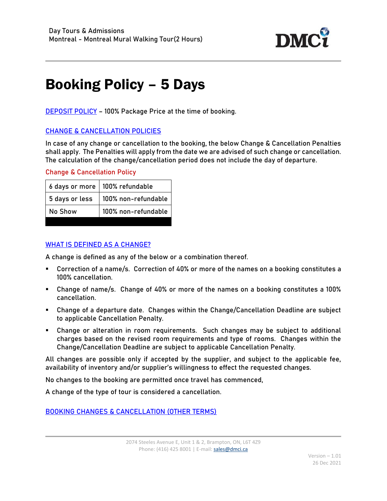

## Booking Policy – 5 Days

**DEPOSIT POLICY** - 100% Package Price at the time of booking.

## CHANGE & CANCELLATION POLICIES

In case of any change or cancellation to the booking, the below Change & Cancellation Penalties shall apply. The Penalties will apply from the date we are advised of such change or cancellation. The calculation of the change/cancellation period does not include the day of departure.

## Change & Cancellation Policy

|                | 6 days or more   100% refundable |
|----------------|----------------------------------|
| 5 days or less | 100% non-refundable              |
| No Show        | 100% non-refundable              |

## WHAT IS DEFINED AS A CHANGE?

A change is defined as any of the below or a combination thereof.

- Correction of a name/s. Correction of 40% or more of the names on a booking constitutes a 100% cancellation.
- Change of name/s. Change of 40% or more of the names on a booking constitutes a 100% cancellation.
- Change of a departure date. Changes within the Change/Cancellation Deadline are subject to applicable Cancellation Penalty.
- Change or alteration in room requirements. Such changes may be subject to additional charges based on the revised room requirements and type of rooms. Changes within the Change/Cancellation Deadline are subject to applicable Cancellation Penalty.

All changes are possible only if accepted by the supplier, and subject to the applicable fee, availability of inventory and/or supplier's willingness to effect the requested changes.

No changes to the booking are permitted once travel has commenced,

A change of the type of tour is considered a cancellation.

BOOKING CHANGES & CANCELLATION (OTHER TERMS)